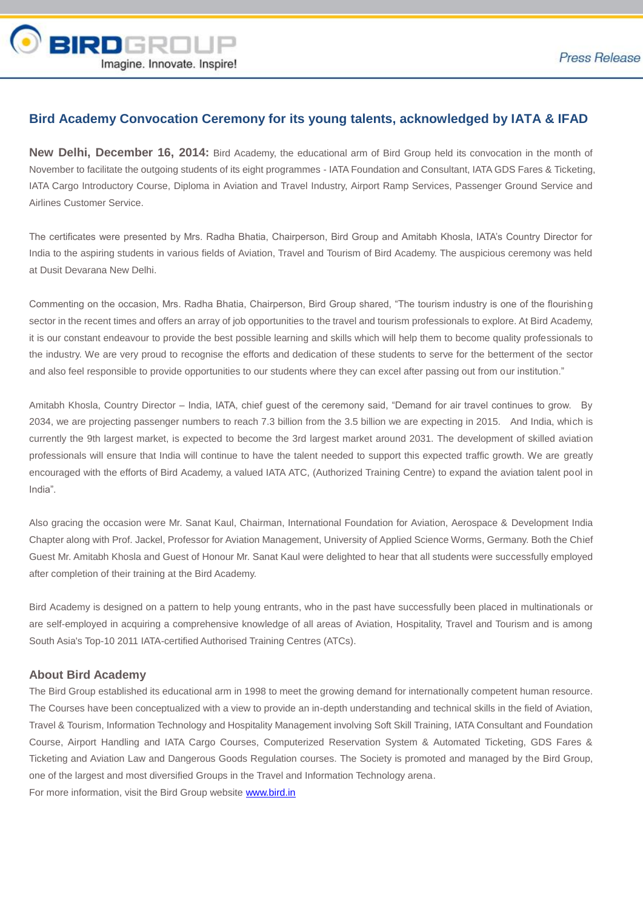

## **Bird Academy Convocation Ceremony for its young talents, acknowledged by IATA & IFAD**

**New Delhi, December 16, 2014:** Bird Academy, the educational arm of Bird Group held its convocation in the month of November to facilitate the outgoing students of its eight programmes - IATA Foundation and Consultant, IATA GDS Fares & Ticketing, IATA Cargo Introductory Course, Diploma in Aviation and Travel Industry, Airport Ramp Services, Passenger Ground Service and Airlines Customer Service.

The certificates were presented by Mrs. Radha Bhatia, Chairperson, Bird Group and Amitabh Khosla, IATA's Country Director for India to the aspiring students in various fields of Aviation, Travel and Tourism of Bird Academy. The auspicious ceremony was held at Dusit Devarana New Delhi.

Commenting on the occasion, Mrs. Radha Bhatia, Chairperson, Bird Group shared, "The tourism industry is one of the flourishing sector in the recent times and offers an array of job opportunities to the travel and tourism professionals to explore. At Bird Academy, it is our constant endeavour to provide the best possible learning and skills which will help them to become quality professionals to the industry. We are very proud to recognise the efforts and dedication of these students to serve for the betterment of the sector and also feel responsible to provide opportunities to our students where they can excel after passing out from our institution."

Amitabh Khosla, Country Director – India, IATA, chief guest of the ceremony said, "Demand for air travel continues to grow. By 2034, we are projecting passenger numbers to reach 7.3 billion from the 3.5 billion we are expecting in 2015. And India, which is currently the 9th largest market, is expected to become the 3rd largest market around 2031. The development of skilled aviation professionals will ensure that India will continue to have the talent needed to support this expected traffic growth. We are greatly encouraged with the efforts of Bird Academy, a valued IATA ATC, (Authorized Training Centre) to expand the aviation talent pool in India".

Also gracing the occasion were Mr. Sanat Kaul, Chairman, International Foundation for Aviation, Aerospace & Development India Chapter along with Prof. Jackel, Professor for Aviation Management, University of Applied Science Worms, Germany. Both the Chief Guest Mr. Amitabh Khosla and Guest of Honour Mr. Sanat Kaul were delighted to hear that all students were successfully employed after completion of their training at the Bird Academy.

Bird Academy is designed on a pattern to help young entrants, who in the past have successfully been placed in multinationals or are self-employed in acquiring a comprehensive knowledge of all areas of Aviation, Hospitality, Travel and Tourism and is among South Asia's Top-10 2011 IATA-certified Authorised Training Centres (ATCs).

## **About Bird Academy**

The Bird Group established its educational arm in 1998 to meet the growing demand for internationally competent human resource. The Courses have been conceptualized with a view to provide an in-depth understanding and technical skills in the field of Aviation, Travel & Tourism, Information Technology and Hospitality Management involving Soft Skill Training, IATA Consultant and Foundation Course, Airport Handling and IATA Cargo Courses, Computerized Reservation System & Automated Ticketing, GDS Fares & Ticketing and Aviation Law and Dangerous Goods Regulation courses. The Society is promoted and managed by the Bird Group, one of the largest and most diversified Groups in the Travel and Information Technology arena. For more information, visit the Bird Group website [www.bird.in](http://www.bird.in/)